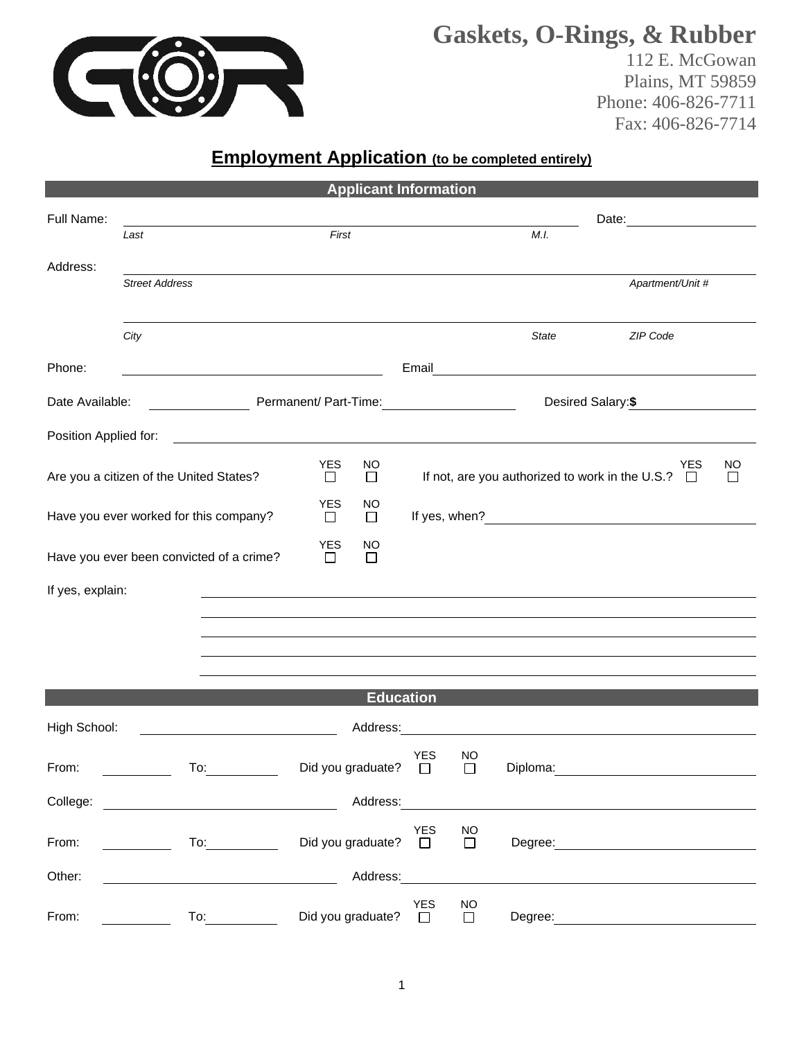

# **Gaskets, O-Rings, & Rubber**

112 E. McGowan Plains, MT 59859 Phone: 406-826-7711 Fax: 406-826-7714

# **Employment Application** (to be completed entirely)

| <b>Applicant Information</b>             |                                                                                                                                                                                                                                |                             |                                                               |                      |                                               |                                   |                                                                                                                                                                                                                                      |  |  |
|------------------------------------------|--------------------------------------------------------------------------------------------------------------------------------------------------------------------------------------------------------------------------------|-----------------------------|---------------------------------------------------------------|----------------------|-----------------------------------------------|-----------------------------------|--------------------------------------------------------------------------------------------------------------------------------------------------------------------------------------------------------------------------------------|--|--|
| Full Name:                               |                                                                                                                                                                                                                                |                             |                                                               |                      |                                               |                                   | Date:                                                                                                                                                                                                                                |  |  |
|                                          | Last                                                                                                                                                                                                                           | First                       |                                                               |                      |                                               | M.I.                              |                                                                                                                                                                                                                                      |  |  |
| Address:                                 | <b>Street Address</b>                                                                                                                                                                                                          |                             |                                                               |                      |                                               |                                   | Apartment/Unit #                                                                                                                                                                                                                     |  |  |
|                                          |                                                                                                                                                                                                                                |                             |                                                               |                      |                                               |                                   |                                                                                                                                                                                                                                      |  |  |
|                                          | City                                                                                                                                                                                                                           |                             |                                                               |                      |                                               | <b>State</b>                      | ZIP Code                                                                                                                                                                                                                             |  |  |
| Phone:                                   |                                                                                                                                                                                                                                |                             |                                                               | Email                |                                               |                                   | <u> 1989 - Johann Stoff, deutscher Stoffen und der Stoffen und der Stoffen und der Stoffen und der Stoffen und der Stoffen und der Stoffen und der Stoffen und der Stoffen und der Stoffen und der Stoffen und der Stoffen und d</u> |  |  |
| Date Available:<br>Permanent/ Part-Time: |                                                                                                                                                                                                                                |                             |                                                               |                      |                                               |                                   | Desired Salary:\$                                                                                                                                                                                                                    |  |  |
| Position Applied for:                    |                                                                                                                                                                                                                                |                             |                                                               |                      |                                               |                                   |                                                                                                                                                                                                                                      |  |  |
| Are you a citizen of the United States?  | <b>YES</b><br>$\Box$                                                                                                                                                                                                           | NO<br>$\Box$                | <b>YES</b><br>If not, are you authorized to work in the U.S.? |                      |                                               | NO<br>$\Box$<br>П                 |                                                                                                                                                                                                                                      |  |  |
|                                          |                                                                                                                                                                                                                                | YES                         | <b>NO</b>                                                     |                      |                                               |                                   |                                                                                                                                                                                                                                      |  |  |
|                                          | Have you ever worked for this company?                                                                                                                                                                                         | □                           | $\Box$                                                        |                      |                                               |                                   |                                                                                                                                                                                                                                      |  |  |
|                                          | Have you ever been convicted of a crime?                                                                                                                                                                                       | <b>YES</b><br>$\Box$        | NO<br>□                                                       |                      |                                               |                                   |                                                                                                                                                                                                                                      |  |  |
| If yes, explain:                         |                                                                                                                                                                                                                                |                             |                                                               |                      |                                               |                                   |                                                                                                                                                                                                                                      |  |  |
|                                          |                                                                                                                                                                                                                                |                             |                                                               |                      |                                               |                                   |                                                                                                                                                                                                                                      |  |  |
|                                          |                                                                                                                                                                                                                                |                             |                                                               |                      |                                               |                                   |                                                                                                                                                                                                                                      |  |  |
|                                          |                                                                                                                                                                                                                                |                             |                                                               |                      |                                               |                                   |                                                                                                                                                                                                                                      |  |  |
|                                          |                                                                                                                                                                                                                                |                             | <b>Education</b>                                              |                      |                                               |                                   |                                                                                                                                                                                                                                      |  |  |
| High School:                             | Address:                                                                                                                                                                                                                       |                             |                                                               |                      | <u> 1980 - Andrea Albert III, martin a bh</u> |                                   |                                                                                                                                                                                                                                      |  |  |
| From:                                    | $\overline{a}$                                                                                                                                                                                                                 | Did you graduate? $\square$ |                                                               | <b>YES</b>           | NO<br>$\Box$                                  |                                   | Diploma: Diploma:                                                                                                                                                                                                                    |  |  |
| College:                                 |                                                                                                                                                                                                                                |                             |                                                               |                      |                                               | Address: <u>www.community.com</u> |                                                                                                                                                                                                                                      |  |  |
| From:                                    | $\overline{10}$ :                                                                                                                                                                                                              | Did you graduate?           |                                                               | <b>YES</b><br>$\Box$ | <b>NO</b><br>$\Box$                           |                                   | Degree: the contract of the contract of the contract of the contract of the contract of the contract of the contract of the contract of the contract of the contract of the contract of the contract of the contract of the co       |  |  |
| Other:                                   | <u> 1980 - Johann Barnett, fransk politiker (</u>                                                                                                                                                                              |                             | Address:                                                      |                      |                                               |                                   |                                                                                                                                                                                                                                      |  |  |
| From:                                    | To: the contract of the contract of the contract of the contract of the contract of the contract of the contract of the contract of the contract of the contract of the contract of the contract of the contract of the contra | Did you graduate?           |                                                               | <b>YES</b><br>$\Box$ | <b>NO</b><br>$\Box$                           | Degree:                           |                                                                                                                                                                                                                                      |  |  |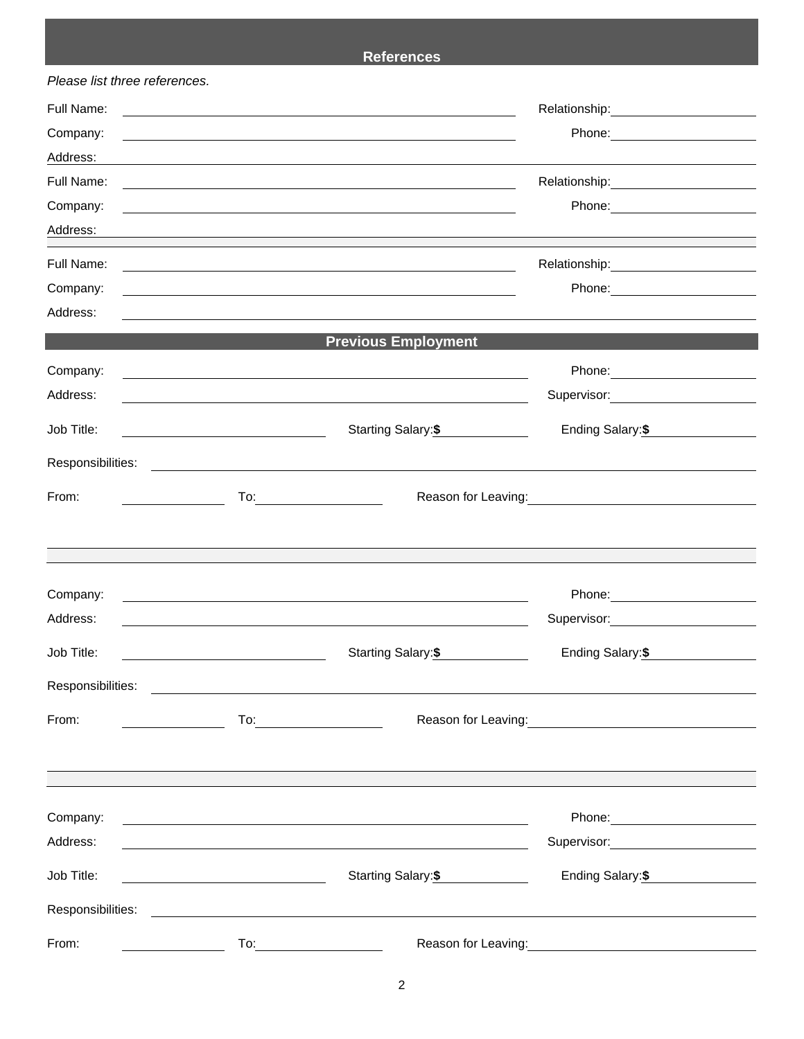## **References**

| Please list three references.          |                                                                                                                  |                                                                                                                                                                                                                                                                                                                                                     |                                                                                                                 |  |  |  |
|----------------------------------------|------------------------------------------------------------------------------------------------------------------|-----------------------------------------------------------------------------------------------------------------------------------------------------------------------------------------------------------------------------------------------------------------------------------------------------------------------------------------------------|-----------------------------------------------------------------------------------------------------------------|--|--|--|
| Full Name:                             | and the control of the control of the control of the control of the control of the control of the control of the | Relationship: 2000                                                                                                                                                                                                                                                                                                                                  |                                                                                                                 |  |  |  |
| Company:                               |                                                                                                                  | and the control of the control of the control of the control of the control of the control of the control of the                                                                                                                                                                                                                                    |                                                                                                                 |  |  |  |
| Address:                               |                                                                                                                  |                                                                                                                                                                                                                                                                                                                                                     |                                                                                                                 |  |  |  |
| Full Name:                             |                                                                                                                  | and the control of the control of the control of the control of the control of the control of the control of the                                                                                                                                                                                                                                    |                                                                                                                 |  |  |  |
| Company:                               |                                                                                                                  | <u> 1989 - Johann Harry Communication (b. 1989)</u>                                                                                                                                                                                                                                                                                                 | Phone: 2008 2010 2010 2010 2010 2021 2022 2023 2024 2022 2023 2024 2022 2023 2024 2025 2026 2027 2028 2021 20   |  |  |  |
| Address:                               |                                                                                                                  |                                                                                                                                                                                                                                                                                                                                                     |                                                                                                                 |  |  |  |
| Full Name:                             |                                                                                                                  | <u> 1989 - Johann Stoff, deutscher Stoffen und der Stoffen und der Stoffen und der Stoffen und der Stoffen und der</u>                                                                                                                                                                                                                              |                                                                                                                 |  |  |  |
| Company:                               |                                                                                                                  | <u> 1989 - Johann Stein, marwolaethau (b. 1989)</u>                                                                                                                                                                                                                                                                                                 |                                                                                                                 |  |  |  |
| Address:                               |                                                                                                                  |                                                                                                                                                                                                                                                                                                                                                     |                                                                                                                 |  |  |  |
|                                        |                                                                                                                  | <b>Previous Employment</b>                                                                                                                                                                                                                                                                                                                          |                                                                                                                 |  |  |  |
| Company:                               |                                                                                                                  |                                                                                                                                                                                                                                                                                                                                                     |                                                                                                                 |  |  |  |
| Address:                               |                                                                                                                  | <u> 1989 - Johann Stoff, amerikansk politiker (d. 1989)</u>                                                                                                                                                                                                                                                                                         | Supervisor: 2000                                                                                                |  |  |  |
| Job Title:                             |                                                                                                                  | Starting Salary: \$                                                                                                                                                                                                                                                                                                                                 | Ending Salary:\$                                                                                                |  |  |  |
| Responsibilities:                      |                                                                                                                  | <u> Andreas Andreas Andreas Andreas Andreas Andreas Andreas Andreas Andreas Andreas Andreas Andreas Andreas Andr</u>                                                                                                                                                                                                                                |                                                                                                                 |  |  |  |
| From:                                  |                                                                                                                  |                                                                                                                                                                                                                                                                                                                                                     | Reason for Leaving: 1990 and 200 million and 200 million and 200 million and 200 million and 200 million and 20 |  |  |  |
|                                        |                                                                                                                  |                                                                                                                                                                                                                                                                                                                                                     |                                                                                                                 |  |  |  |
| Company:                               |                                                                                                                  |                                                                                                                                                                                                                                                                                                                                                     |                                                                                                                 |  |  |  |
| Address:                               |                                                                                                                  | <u> 1989 - Johann Stoff, amerikansk politiker (d. 1989)</u><br><u> 1989 - Jan Sterling von de Brandenbard von de Brandenbard von de Brandenbard von de Brandenbard von de Branden</u>                                                                                                                                                               | Supervisor: William Supervisor:                                                                                 |  |  |  |
| Job Title:                             |                                                                                                                  | <b>Starting Salary:\$</b>                                                                                                                                                                                                                                                                                                                           | Ending Salary: \$                                                                                               |  |  |  |
|                                        |                                                                                                                  |                                                                                                                                                                                                                                                                                                                                                     |                                                                                                                 |  |  |  |
| From:<br><u> 1990 - John Barbara (</u> |                                                                                                                  | $\begin{picture}(150,10) \put(0,0){\line(1,0){10}} \put(15,0){\line(1,0){10}} \put(15,0){\line(1,0){10}} \put(15,0){\line(1,0){10}} \put(15,0){\line(1,0){10}} \put(15,0){\line(1,0){10}} \put(15,0){\line(1,0){10}} \put(15,0){\line(1,0){10}} \put(15,0){\line(1,0){10}} \put(15,0){\line(1,0){10}} \put(15,0){\line(1,0){10}} \put(15,0){\line($ |                                                                                                                 |  |  |  |
|                                        |                                                                                                                  |                                                                                                                                                                                                                                                                                                                                                     |                                                                                                                 |  |  |  |
| Company:                               |                                                                                                                  | <u> 1989 - Johann Stoff, deutscher Stoffen und der Stoffen und der Stoffen und der Stoffen und der Stoffen und der</u>                                                                                                                                                                                                                              |                                                                                                                 |  |  |  |
| Address:                               |                                                                                                                  |                                                                                                                                                                                                                                                                                                                                                     | Supervisor: 2000                                                                                                |  |  |  |
| Job Title:                             |                                                                                                                  | Starting Salary:\$                                                                                                                                                                                                                                                                                                                                  | Ending Salary:\$                                                                                                |  |  |  |
|                                        |                                                                                                                  |                                                                                                                                                                                                                                                                                                                                                     |                                                                                                                 |  |  |  |
| From:                                  |                                                                                                                  |                                                                                                                                                                                                                                                                                                                                                     | Reason for Leaving: 1999                                                                                        |  |  |  |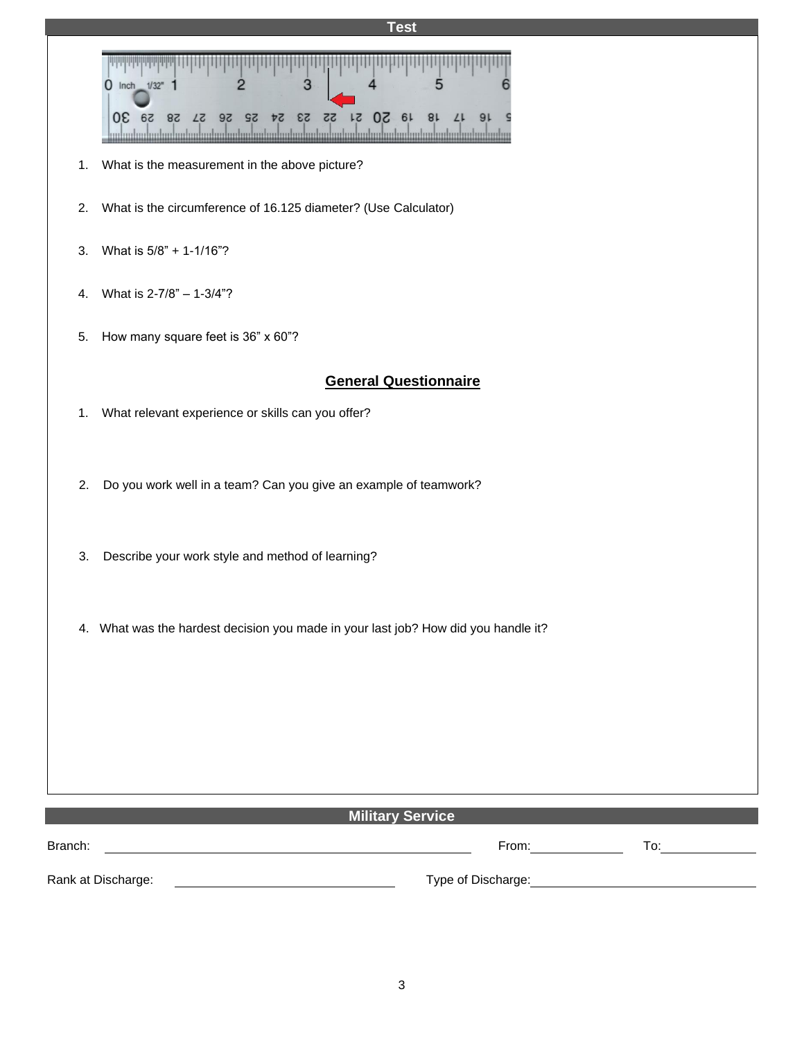| <b>Test</b>                                                                                                                                                                                                                                      |  |  |  |  |  |  |  |  |
|--------------------------------------------------------------------------------------------------------------------------------------------------------------------------------------------------------------------------------------------------|--|--|--|--|--|--|--|--|
| $\overline{3}$<br>0 Inch 1/32" 1<br>2<br>18 19 50 51 55 53 54 52 58 51 58 59 30<br>91<br>L<br><u>an antara badan badan badan badan badan badan badan badan badan badan badan badan ba</u>                                                        |  |  |  |  |  |  |  |  |
| What is the measurement in the above picture?<br>1.                                                                                                                                                                                              |  |  |  |  |  |  |  |  |
| What is the circumference of 16.125 diameter? (Use Calculator)<br>2.                                                                                                                                                                             |  |  |  |  |  |  |  |  |
| What is 5/8" + 1-1/16"?<br>3.                                                                                                                                                                                                                    |  |  |  |  |  |  |  |  |
| What is 2-7/8" - 1-3/4"?<br>4.                                                                                                                                                                                                                   |  |  |  |  |  |  |  |  |
| How many square feet is 36" x 60"?<br>5.                                                                                                                                                                                                         |  |  |  |  |  |  |  |  |
| <b>General Questionnaire</b>                                                                                                                                                                                                                     |  |  |  |  |  |  |  |  |
| What relevant experience or skills can you offer?<br>1.                                                                                                                                                                                          |  |  |  |  |  |  |  |  |
| Do you work well in a team? Can you give an example of teamwork?<br>2.                                                                                                                                                                           |  |  |  |  |  |  |  |  |
| Describe your work style and method of learning?<br>3.                                                                                                                                                                                           |  |  |  |  |  |  |  |  |
| 4. What was the hardest decision you made in your last job? How did you handle it?                                                                                                                                                               |  |  |  |  |  |  |  |  |
|                                                                                                                                                                                                                                                  |  |  |  |  |  |  |  |  |
|                                                                                                                                                                                                                                                  |  |  |  |  |  |  |  |  |
|                                                                                                                                                                                                                                                  |  |  |  |  |  |  |  |  |
| <b>Military Service</b>                                                                                                                                                                                                                          |  |  |  |  |  |  |  |  |
| Branch:<br>From: The contract of the contract of the contract of the contract of the contract of the contract of the contract of the contract of the contract of the contract of the contract of the contract of the contract of the cont<br>To: |  |  |  |  |  |  |  |  |
| Rank at Discharge:<br>Type of Discharge: Manager and Contract and Contract of Discharge:                                                                                                                                                         |  |  |  |  |  |  |  |  |